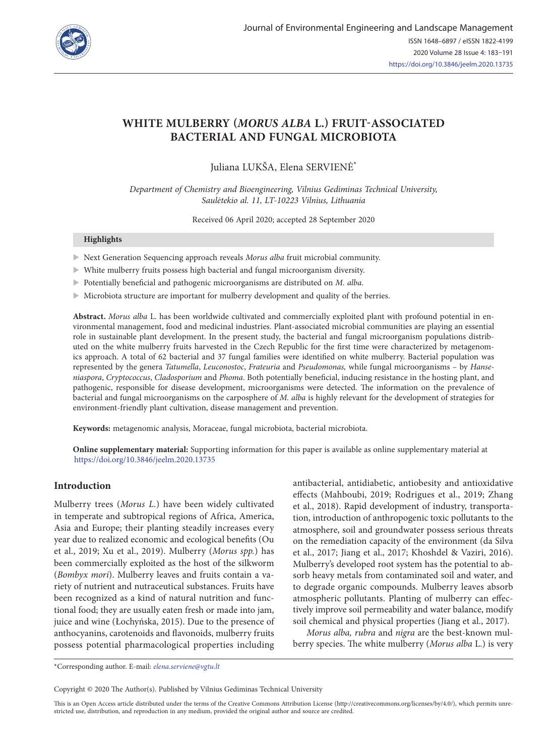

# **WHITE MULBERRY (***MORUS ALBA* **L.) FRUIT-ASSOCIATED BACTERIAL AND FUNGAL MICROBIOTA**

Juliana LUKŠA, Elena SERVIENĖ\*

*Department of Chemistry and Bioengineering, Vilnius Gediminas Technical University, Saulėtekio al. 11, LT-10223 Vilnius, Lithuania*

Received 06 April 2020; accepted 28 September 2020

#### **Highlights**

- **X** Next Generation Sequencing approach reveals *Morus alba* fruit microbial community.
- $\blacktriangleright$  White mulberry fruits possess high bacterial and fungal microorganism diversity.
- X Potentially beneficial and pathogenic microorganisms are distributed on *M. alba*.
- $\blacktriangleright$  Microbiota structure are important for mulberry development and quality of the berries.

**Abstract.** *Morus alba* L. has been worldwide cultivated and commercially exploited plant with profound potential in environmental management, food and medicinal industries. Plant-associated microbial communities are playing an essential role in sustainable plant development. In the present study, the bacterial and fungal microorganism populations distributed on the white mulberry fruits harvested in the Czech Republic for the first time were characterized by metagenomics approach. A total of 62 bacterial and 37 fungal families were identified on white mulberry. Bacterial population was represented by the genera *Tatumella*, *Leuconostoc*, *Frateuria* and *Pseudomonas,* while fungal microorganisms – by *Hanseniaspora*, *Cryptococcus*, *Cladosporium* and *Phoma*. Both potentially beneficial, inducing resistance in the hosting plant, and pathogenic, responsible for disease development, microorganisms were detected. The information on the prevalence of bacterial and fungal microorganisms on the carposphere of *M. alba* is highly relevant for the development of strategies for environment-friendly plant cultivation, disease management and prevention.

**Keywords:** metagenomic analysis, Moraceae, fungal microbiota, bacterial microbiota.

**Online supplementary material:** Supporting information for this paper is available as online supplementary material at <https://doi.org/10.3846/jeelm.2020.13735>

#### **Introduction**

Mulberry trees (*Morus L.*) have been widely cultivated in temperate and subtropical regions of Africa, America, Asia and Europe; their planting steadily increases every year due to realized economic and ecological benefits (Ou et al., 2019; Xu et al., 2019). Mulberry (*Morus spp.*) has been commercially exploited as the host of the silkworm (*Bombyx mori*). Mulberry leaves and fruits contain a variety of nutrient and nutraceutical substances. Fruits have been recognized as a kind of natural nutrition and functional food; they are usually eaten fresh or made into jam, juice and wine (Łochyńska, 2015). Due to the presence of anthocyanins, carotenoids and flavonoids, mulberry fruits possess potential pharmacological properties including antibacterial, antidiabetic, antiobesity and antioxidative effects (Mahboubi, 2019; Rodrigues et al., 2019; Zhang et al., 2018). Rapid development of industry, transportation, introduction of anthropogenic toxic pollutants to the atmosphere, soil and groundwater possess serious threats on the remediation capacity of the environment (da Silva et al., 2017; Jiang et al., 2017; Khoshdel & Vaziri, 2016). Mulberry's developed root system has the potential to absorb heavy metals from contaminated soil and water, and to degrade organic compounds. Mulberry leaves absorb atmospheric pollutants. Planting of mulberry can effectively improve soil permeability and water balance, modify soil chemical and physical properties (Jiang et al., 2017).

*Morus alba, rubra* and *nigra* are the best-known mulberry species. The white mulberry (*Morus alba* L.) is very

\*Corresponding author. E-mail: *[elena.serviene@vgtu.lt](mailto:elena.serviene@vgtu.lt)*

Copyright © 2020 The Author(s). Published by Vilnius Gediminas Technical University

This is an Open Access article distributed under the terms of the Creative Commons Attribution License (<http://creativecommons.org/licenses/by/4.0/>), which permits unrestricted use, distribution, and reproduction in any medium, provided the original author and source are credited.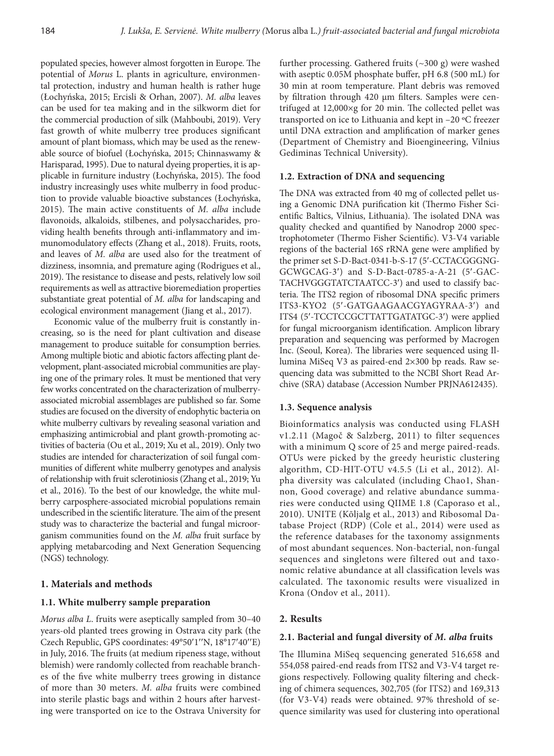populated species, however almost forgotten in Europe. The potential of *Morus* L. plants in agriculture, environmental protection, industry and human health is rather huge (Łochyńska, 2015; Ercisli & Orhan, 2007). *M. alba* leaves can be used for tea making and in the silkworm diet for the commercial production of silk (Mahboubi, 2019). Very fast growth of white mulberry tree produces significant amount of plant biomass, which may be used as the renewable source of biofuel (Łochyńska, 2015; Chinnaswamy & Harisparad, 1995). Due to natural dyeing properties, it is applicable in furniture industry (Łochyńska, 2015). The food industry increasingly uses white mulberry in food production to provide valuable bioactive substances (Łochyńska, 2015). The main active constituents of *M. alba* include flavonoids, alkaloids, stilbenes, and polysaccharides, providing health benefits through anti-inflammatory and immunomodulatory effects (Zhang et al., 2018). Fruits, roots, and leaves of *M. alba* are used also for the treatment of dizziness, insomnia, and premature aging (Rodrigues et al., 2019). The resistance to disease and pests, relatively low soil requirements as well as attractive bioremediation properties substantiate great potential of *M. alba* for landscaping and ecological environment management (Jiang et al., 2017).

Economic value of the mulberry fruit is constantly increasing, so is the need for plant cultivation and disease management to produce suitable for consumption berries. Among multiple biotic and abiotic factors affecting plant development, plant-associated microbial communities are playing one of the primary roles. It must be mentioned that very few works concentrated on the characterization of mulberryassociated microbial assemblages are published so far. Some studies are focused on the diversity of endophytic bacteria on white mulberry cultivars by revealing seasonal variation and emphasizing antimicrobial and plant growth-promoting activities of bacteria (Ou et al., 2019; Xu et al., 2019). Only two studies are intended for characterization of soil fungal communities of different white mulberry genotypes and analysis of relationship with fruit sclerotiniosis (Zhang et al., 2019; Yu et al., 2016). To the best of our knowledge, the white mulberry carposphere-associated microbial populations remain undescribed in the scientific literature. The aim of the present study was to characterize the bacterial and fungal microorganism communities found on the *M. alba* fruit surface by applying metabarcoding and Next Generation Sequencing (NGS) technology.

# **1. Materials and methods**

## **1.1. White mulberry sample preparation**

*Morus alba L*. fruits were aseptically sampled from 30–40 years-old planted trees growing in Ostrava city park (the Czech Republic, GPS coordinates: 49°50′1′′N, 18°17′40′′E) in July, 2016. The fruits (at medium ripeness stage, without blemish) were randomly collected from reachable branches of the five white mulberry trees growing in distance of more than 30 meters. *M. alba* fruits were combined into sterile plastic bags and within 2 hours after harvesting were transported on ice to the Ostrava University for

further processing. Gathered fruits (~300 g) were washed with aseptic 0.05M phosphate buffer, pH 6.8 (500 mL) for 30 min at room temperature. Plant debris was removed by filtration through 420 μm filters. Samples were centrifuged at 12,000×g for 20 min. The collected pellet was transported on ice to Lithuania and kept in –20 ºC freezer until DNA extraction and amplification of marker genes (Department of Chemistry and Bioengineering, Vilnius Gediminas Technical University).

# **1.2. Extraction of DNA and sequencing**

The DNA was extracted from 40 mg of collected pellet using a Genomic DNA purification kit (Thermo Fisher Scientific Baltics, Vilnius, Lithuania). The isolated DNA was quality checked and quantified by Nanodrop 2000 spectrophotometer (Thermo Fisher Scientific). V3-V4 variable regions of the bacterial 16S rRNA gene were amplified by the primer set S-D-Bact-0341-b-S-17 (5′-CCTACGGGNG-GCWGCAG-3′) and S-D-Bact-0785-a-A-21 (5′-GAC-TACHVGGGTATCTAATCC-3′) and used to classify bacteria. The ITS2 region of ribosomal DNA specific primers ITS3-KYO2 (5′-GATGAAGAACGYAGYRAA-3′) and ITS4 (5′-TCCTCCGCTTATTGATATGC-3′) were applied for fungal microorganism identification. Amplicon library preparation and sequencing was performed by Macrogen Inc. (Seoul, Korea). The libraries were sequenced using Illumina MiSeq V3 as paired-end 2×300 bp reads. Raw sequencing data was submitted to the NCBI Short Read Archive (SRA) database (Accession Number PRJNA612435).

#### **1.3. Sequence analysis**

Bioinformatics analysis was conducted using FLASH v1.2.11 (Magoč & Salzberg, 2011) to filter sequences with a minimum Q score of 25 and merge paired-reads. OTUs were picked by the greedy heuristic clustering algorithm, CD-HIT-OTU v4.5.5 (Li et al., 2012). Alpha diversity was calculated (including Chao1, Shannon, Good coverage) and relative abundance summaries were conducted using QIIME 1.8 (Caporaso et al., 2010). UNITE (Kõljalg et al., 2013) and Ribosomal Database Project (RDP) (Cole et al., 2014) were used as the reference databases for the taxonomy assignments of most abundant sequences. Non-bacterial, non-fungal sequences and singletons were filtered out and taxonomic relative abundance at all classification levels was calculated. The taxonomic results were visualized in Krona (Ondov et al., 2011).

### **2. Results**

#### **2.1. Bacterial and fungal diversity of** *M. alba* **fruits**

The Illumina MiSeq sequencing generated 516,658 and 554,058 paired-end reads from ITS2 and V3-V4 target regions respectively. Following quality filtering and checking of chimera sequences, 302,705 (for ITS2) and 169,313 (for V3-V4) reads were obtained. 97% threshold of sequence similarity was used for clustering into operational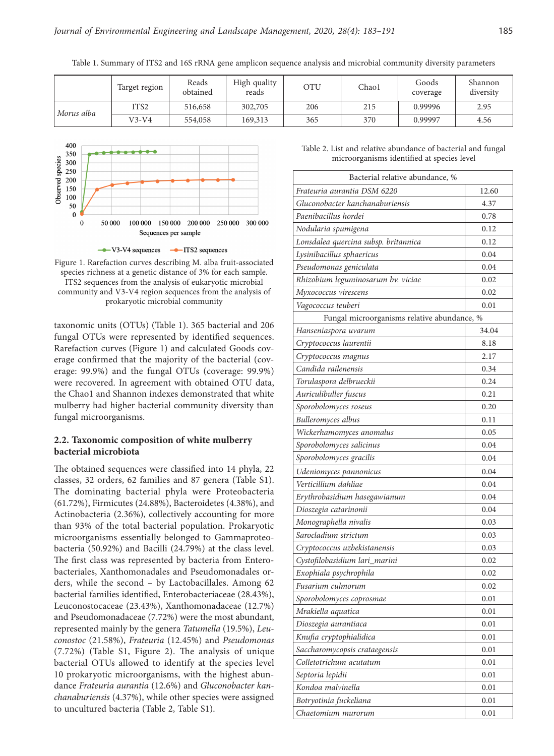Table 1. Summary of ITS2 and 16S rRNA gene amplicon sequence analysis and microbial community diversity parameters

|            | Target region    | Reads<br>obtained | High quality<br>reads | OTU | Chao1 | Goods<br>coverage | Shannon<br>diversity |
|------------|------------------|-------------------|-----------------------|-----|-------|-------------------|----------------------|
| Morus alba | ITS <sub>2</sub> | 516,658           | 302,705               | 206 | 215   | 0.99996           | 2.95                 |
|            | $V3-V4$          | 554,058           | 169,313               | 365 | 370   | 0.99997           | 4.56                 |



Figure 1. Rarefaction curves describing M. alba fruit-associated species richness at a genetic distance of 3% for each sample. ITS2 sequences from the analysis of eukaryotic microbial community and V3-V4 region sequences from the analysis of prokaryotic microbial community

taxonomic units (OTUs) (Table 1). 365 bacterial and 206 fungal OTUs were represented by identified sequences. Rarefaction curves (Figure 1) and calculated Goods coverage confirmed that the majority of the bacterial (coverage: 99.9%) and the fungal OTUs (coverage: 99.9%) were recovered. In agreement with obtained OTU data, the Chao1 and Shannon indexes demonstrated that white mulberry had higher bacterial community diversity than fungal microorganisms.

# **2.2. Taxonomic composition of white mulberry bacterial microbiota**

The obtained sequences were classified into 14 phyla, 22 classes, 32 orders, 62 families and 87 genera (Table S1). The dominating bacterial phyla were Proteobacteria (61.72%), Firmicutes (24.88%), Bacteroidetes (4.38%), and Actinobacteria (2.36%), collectively accounting for more than 93% of the total bacterial population. Prokaryotic microorganisms essentially belonged to Gammaproteobacteria (50.92%) and Bacilli (24.79%) at the class level. The first class was represented by bacteria from Enterobacteriales, Xanthomonadales and Pseudomonadales orders, while the second – by Lactobacillales. Among 62 bacterial families identified, Enterobacteriaceae (28.43%), Leuconostocaceae (23.43%), Xanthomonadaceae (12.7%) and Pseudomonadaceae (7.72%) were the most abundant, represented mainly by the genera *Tatumella* (19.5%), *Leuconostoc* (21.58%), *Frateuria* (12.45%) and *Pseudomonas*  (7.72%) (Table S1, Figure 2). The analysis of unique bacterial OTUs allowed to identify at the species level 10 prokaryotic microorganisms, with the highest abundance *Frateuria aurantia* (12.6%) and *Gluconobacter kanchanaburiensis* (4.37%), while other species were assigned to uncultured bacteria (Table 2, Table S1).

Table 2. List and relative abundance of bacterial and fungal microorganisms identified at species level

| Bacterial relative abundance, %             |       |  |  |  |  |  |  |  |
|---------------------------------------------|-------|--|--|--|--|--|--|--|
| Frateuria aurantia DSM 6220                 | 12.60 |  |  |  |  |  |  |  |
| Gluconobacter kanchanaburiensis             | 4.37  |  |  |  |  |  |  |  |
| Paenibacillus hordei                        | 0.78  |  |  |  |  |  |  |  |
| Nodularia spumigena                         | 0.12  |  |  |  |  |  |  |  |
| Lonsdalea quercina subsp. britannica        | 0.12  |  |  |  |  |  |  |  |
| Lysinibacillus sphaericus                   | 0.04  |  |  |  |  |  |  |  |
| Pseudomonas geniculata                      | 0.04  |  |  |  |  |  |  |  |
| Rhizobium leguminosarum bv. viciae          | 0.02  |  |  |  |  |  |  |  |
| Myxococcus virescens                        | 0.02  |  |  |  |  |  |  |  |
| Vagococcus teuberi                          | 0.01  |  |  |  |  |  |  |  |
| Fungal microorganisms relative abundance, % |       |  |  |  |  |  |  |  |
| Hanseniaspora uvarum                        | 34.04 |  |  |  |  |  |  |  |
| Cryptococcus laurentii                      | 8.18  |  |  |  |  |  |  |  |
| Cryptococcus magnus                         | 2.17  |  |  |  |  |  |  |  |
| Candida railenensis                         | 0.34  |  |  |  |  |  |  |  |
| Torulaspora delbrueckii                     | 0.24  |  |  |  |  |  |  |  |
| Auriculibuller fuscus                       | 0.21  |  |  |  |  |  |  |  |
| Sporobolomyces roseus                       | 0.20  |  |  |  |  |  |  |  |
| Bulleromyces albus                          | 0.11  |  |  |  |  |  |  |  |
| Wickerhamomyces anomalus                    | 0.05  |  |  |  |  |  |  |  |
| Sporobolomyces salicinus                    | 0.04  |  |  |  |  |  |  |  |
| Sporobolomyces gracilis                     | 0.04  |  |  |  |  |  |  |  |
| Udeniomyces pannonicus                      | 0.04  |  |  |  |  |  |  |  |
| Verticillium dahliae                        | 0.04  |  |  |  |  |  |  |  |
| Erythrobasidium hasegawianum                | 0.04  |  |  |  |  |  |  |  |
| Dioszegia catarinonii                       | 0.04  |  |  |  |  |  |  |  |
| Monographella nivalis                       | 0.03  |  |  |  |  |  |  |  |
| Sarocladium strictum                        | 0.03  |  |  |  |  |  |  |  |
| Cryptococcus uzbekistanensis                | 0.03  |  |  |  |  |  |  |  |
| Cystofilobasidium lari_marini               | 0.02  |  |  |  |  |  |  |  |
| Exophiala psychrophila                      | 0.02  |  |  |  |  |  |  |  |
| Fusarium culmorum                           | 0.02  |  |  |  |  |  |  |  |
| Sporobolomyces coprosmae                    | 0.01  |  |  |  |  |  |  |  |
| Mrakiella aquatica                          | 0.01  |  |  |  |  |  |  |  |
| Dioszegia aurantiaca                        | 0.01  |  |  |  |  |  |  |  |
| Knufia cryptophialidica                     | 0.01  |  |  |  |  |  |  |  |
| Saccharomycopsis crataegensis               | 0.01  |  |  |  |  |  |  |  |
| Colletotrichum acutatum                     | 0.01  |  |  |  |  |  |  |  |
| Septoria lepidii                            | 0.01  |  |  |  |  |  |  |  |
| Kondoa malvinella                           | 0.01  |  |  |  |  |  |  |  |
| Botryotinia fuckeliana                      | 0.01  |  |  |  |  |  |  |  |
| Chaetomium murorum                          | 0.01  |  |  |  |  |  |  |  |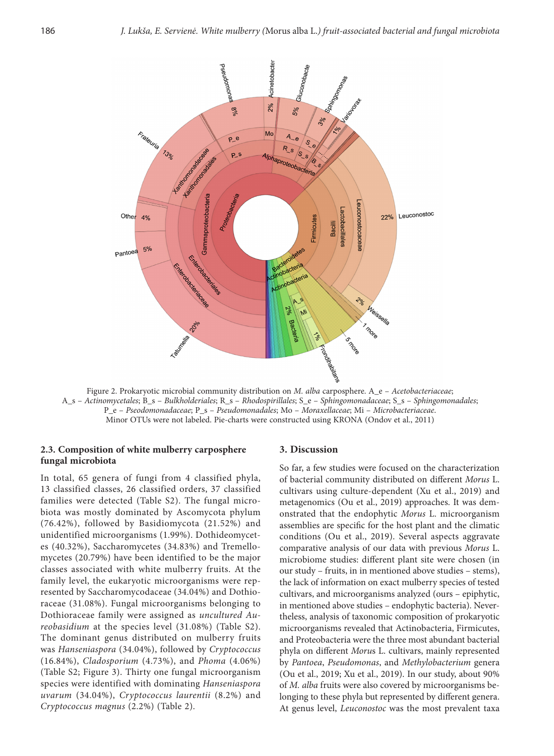

Figure 2. Prokaryotic microbial community distribution on *M. alba* carposphere. A\_e – *Acetobacteriaceae*; A\_s – *Actinomycetales*; B\_s – *Bulkholderiales*; R\_s – *Rhodospirillales*; S\_e – *Sphingomonadaceae*; S\_s – *Sphingomonadales*; P\_e – *Pseodomonadaceae*; P\_s – *Pseudomonadales*; Mo – *Moraxellaceae*; Mi – *Microbacteriaceae*. Minor OTUs were not labeled. Pie-charts were constructed using KRONA (Ondov et al., 2011)

# **2.3. Composition of white mulberry carposphere fungal microbiota**

In total, 65 genera of fungi from 4 classified phyla, 13 classified classes, 26 classified orders, 37 classified families were detected (Table S2). The fungal microbiota was mostly dominated by Ascomycota phylum (76.42%), followed by Basidiomycota (21.52%) and unidentified microorganisms (1.99%). Dothideomycetes (40.32%), Saccharomycetes (34.83%) and Tremellomycetes (20.79%) have been identified to be the major classes associated with white mulberry fruits. At the family level, the eukaryotic microorganisms were represented by Saccharomycodaceae (34.04%) and Dothioraceae (31.08%). Fungal microorganisms belonging to Dothioraceae family were assigned as *uncultured Aureobasidium* at the species level (31.08%) (Table S2). The dominant genus distributed on mulberry fruits was *Hanseniaspora* (34.04%), followed by *Cryptococcus* (16.84%), *Cladosporium* (4.73%), and *Phoma* (4.06%) (Table S2; Figure 3). Thirty one fungal microorganism species were identified with dominating *Hanseniaspora uvarum* (34.04%), *Cryptococcus laurentii* (8.2%) and *Cryptococcus magnus* (2.2%) (Table 2).

#### **3. Discussion**

So far, a few studies were focused on the characterization of bacterial community distributed on different *Morus* L. cultivars using culture-dependent (Xu et al., 2019) and metagenomics (Ou et al., 2019) approaches. It was demonstrated that the endophytic *Morus* L. microorganism assemblies are specific for the host plant and the climatic conditions (Ou et al., 2019). Several aspects aggravate comparative analysis of our data with previous *Morus* L. microbiome studies: different plant site were chosen (in our study – fruits, in in mentioned above studies – stems), the lack of information on exact mulberry species of tested cultivars, and microorganisms analyzed (ours – epiphytic, in mentioned above studies – endophytic bacteria). Nevertheless, analysis of taxonomic composition of prokaryotic microorganisms revealed that Actinobacteria, Firmicutes, and Proteobacteria were the three most abundant bacterial phyla on different *Moru*s L. cultivars, mainly represented by *Pantoea*, *Pseudomonas*, and *Methylobacterium* genera (Ou et al., 2019; Xu et al., 2019). In our study, about 90% of *M. alba* fruits were also covered by microorganisms belonging to these phyla but represented by different genera. At genus level, *Leuconostoc* was the most prevalent taxa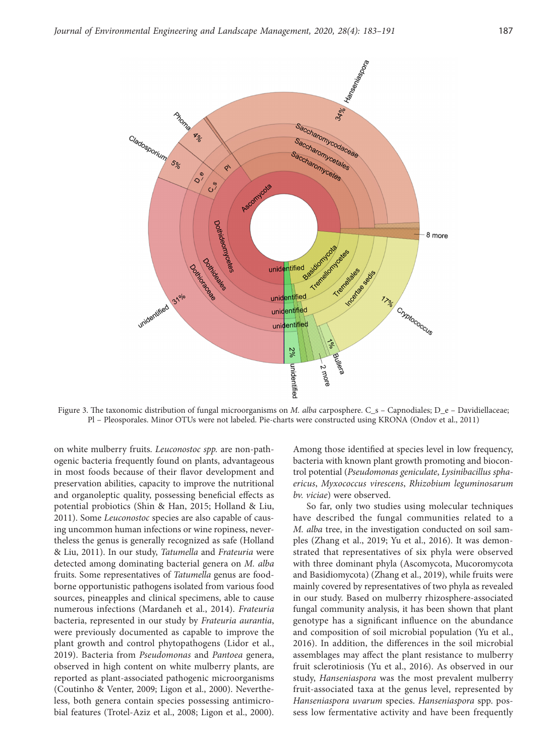

Figure 3. The taxonomic distribution of fungal microorganisms on *M. alba* carposphere. C\_s – Capnodiales; D\_e – Davidiellaceae; Pl – Pleosporales. Minor OTUs were not labeled. Pie-charts were constructed using KRONA (Ondov et al., 2011)

on white mulberry fruits. *Leuconostoc spp.* are non-pathogenic bacteria frequently found on plants, advantageous in most foods because of their flavor development and preservation abilities, capacity to improve the nutritional and organoleptic quality, possessing beneficial effects as potential probiotics (Shin & Han, 2015; Holland & Liu, 2011). Some *Leuconostoc* species are also capable of causing uncommon human infections or wine ropiness, nevertheless the genus is generally recognized as safe (Holland & Liu, 2011). In our study, *Tatumella* and *Frateuria* were detected among dominating bacterial genera on *M. alba* fruits. Some representatives of *Tatumella* genus are foodborne opportunistic pathogens isolated from various food sources, pineapples and clinical specimens, able to cause numerous infections (Mardaneh et al., 2014). *Frateuria*  bacteria, represented in our study by *Frateuria aurantia*, were previously documented as capable to improve the plant growth and control phytopathogens (Lidor et al., 2019). Bacteria from *Pseudomonas* and *Pantoea* genera, observed in high content on white mulberry plants, are reported as plant-associated pathogenic microorganisms (Coutinho & Venter, 2009; Ligon et al., 2000). Nevertheless, both genera contain species possessing antimicrobial features (Trotel-Aziz et al., 2008; Ligon et al., 2000).

Among those identified at species level in low frequency, bacteria with known plant growth promoting and biocontrol potential (*Pseudomonas geniculate*, *Lysinibacillus sphaericus*, *Myxococcus virescens*, *Rhizobium leguminosarum bv. viciae*) were observed.

So far, only two studies using molecular techniques have described the fungal communities related to a *M. alba* tree, in the investigation conducted on soil samples (Zhang et al., 2019; Yu et al., 2016). It was demonstrated that representatives of six phyla were observed with three dominant phyla (Ascomycota, Mucoromycota and Basidiomycota) (Zhang et al., 2019), while fruits were mainly covered by representatives of two phyla as revealed in our study. Based on mulberry rhizosphere-associated fungal community analysis, it has been shown that plant genotype has a significant influence on the abundance and composition of soil microbial population (Yu et al., 2016). In addition, the differences in the soil microbial assemblages may affect the plant resistance to mulberry fruit sclerotiniosis (Yu et al., 2016). As observed in our study, *Hanseniaspora* was the most prevalent mulberry fruit-associated taxa at the genus level, represented by *Hanseniaspora uvarum* species. *Hanseniaspora* spp. possess low fermentative activity and have been frequently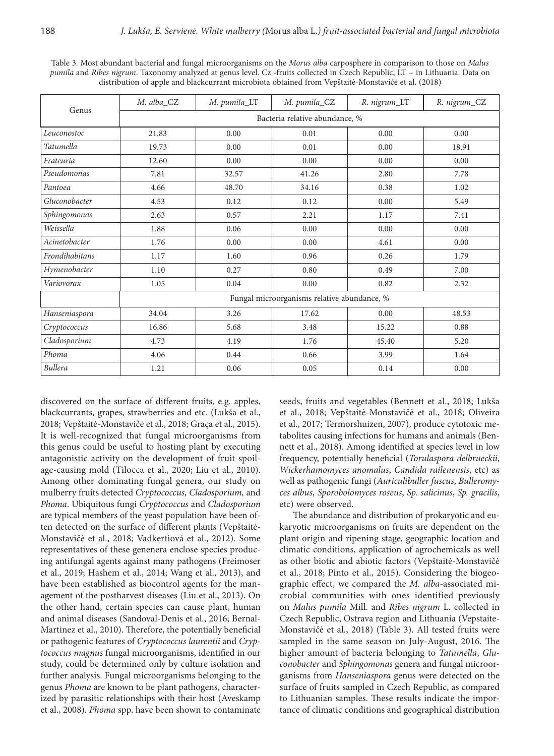| Genus                 | M. alba_CZ                                  | M. pumila_LT | M. pumila_CZ | R. nigrum_LT | R. nigrum_CZ |  |  |  |  |
|-----------------------|---------------------------------------------|--------------|--------------|--------------|--------------|--|--|--|--|
|                       | Bacteria relative abundance, %              |              |              |              |              |  |  |  |  |
| Leuconostoc           | 21.83                                       | 0.00         | 0.01         | 0.00         | 0.00         |  |  |  |  |
| <b>Tatumella</b>      | 19.73                                       | 0.00         | 0.01         | 0.00         | 18.91        |  |  |  |  |
| Frateuria<br>12.60    |                                             | 0.00         | 0.00         | 0.00         | 0.00         |  |  |  |  |
| Pseudomonas<br>7.81   |                                             | 32.57        | 41.26        | 2.80         | 7.78         |  |  |  |  |
| Pantoea<br>4.66       |                                             | 48.70        | 34.16        | 0.38         | 1.02         |  |  |  |  |
| Gluconobacter<br>4.53 |                                             | 0.12         | 0.12         | 0.00         | 5.49         |  |  |  |  |
| Sphingomonas          | 2.63                                        | 0.57         | 2.21         | 1.17         | 7.41         |  |  |  |  |
| Weissella             | 1.88                                        | 0.06         | 0.00         | 0.00         | 0.00         |  |  |  |  |
| Acinetobacter         | 1.76                                        | 0.00         | 0.00         | 4.61         | 0.00         |  |  |  |  |
| Frondihabitans        | 1.17                                        | 1.60         | 0.96         | 0.26         | 1.79         |  |  |  |  |
| Hymenobacter          | 1.10                                        | 0.27         | 0.80         | 0.49         | 7.00         |  |  |  |  |
| Variovorax            | 1.05                                        | 0.04         | $0.00\,$     | 0.82         | 2.32         |  |  |  |  |
|                       | Fungal microorganisms relative abundance, % |              |              |              |              |  |  |  |  |
| Hanseniaspora         | 34.04                                       | 3.26         | 17.62        | 0.00         | 48.53        |  |  |  |  |
| Cryptococcus          | 16.86                                       | 5.68         | 3.48         | 15.22        | 0.88         |  |  |  |  |
| Cladosporium          | 4.73                                        | 4.19         | 1.76         | 45.40        | 5.20         |  |  |  |  |
| Phoma                 | 4.06                                        | 0.44         | 0.66         | 3.99         | 1.64         |  |  |  |  |
| <b>Bullera</b>        | 1.21                                        | 0.06         | 0.05         | 0.14         | $0.00\,$     |  |  |  |  |

Table 3. Most abundant bacterial and fungal microorganisms on the *Morus alba* carposphere in comparison to those on *Malus pumila* and *Ribes nigrum*. Taxonomy analyzed at genus level. Cz -fruits collected in Czech Republic, LT – in Lithuania. Data on distribution of apple and blackcurrant microbiota obtained from Vepštaitė-Monstavičė et al. (2018)

discovered on the surface of different fruits, e.g. apples, blackcurrants, grapes, strawberries and etc. (Lukša et al., 2018; Vepštaitė-Monstavičė et al., 2018; Graça et al., 2015). It is well-recognized that fungal microorganisms from this genus could be useful to hosting plant by executing antagonistic activity on the development of fruit spoilage-causing mold (Tilocca et al., 2020; Liu et al., 2010). Among other dominating fungal genera, our study on mulberry fruits detected *Cryptococcus, Cladosporium,* and *Phoma*. Ubiquitous fungi *Cryptococcus* and *Cladosporium*  are typical members of the yeast population have been often detected on the surface of different plants (Vepštaitė-Monstavičė et al., 2018; Vadkertiová et al., 2012). Some representatives of these genenera enclose species producing antifungal agents against many pathogens (Freimoser et al., 2019; Hashem et al., 2014; Wang et al., 2013), and have been established as biocontrol agents for the management of the postharvest diseases (Liu et al., 2013). On the other hand, certain species can cause plant, human and animal diseases (Sandoval-Denis et al., 2016; Bernal-Martinez et al., 2010). Therefore, the potentially beneficial or pathogenic features of *Cryptococcus laurentii* and *Cryptococcus magnus* fungal microorganisms, identified in our study, could be determined only by culture isolation and further analysis. Fungal microorganisms belonging to the genus *Phoma* are known to be plant pathogens, characterized by parasitic relationships with their host (Aveskamp et al., 2008). *Phoma* spp. have been shown to contaminate

seeds, fruits and vegetables (Bennett et al., 2018; Lukša et al., 2018; Vepštaitė-Monstavičė et al., 2018; Oliveira et al., 2017; Termorshuizen, 2007), produce cytotoxic metabolites causing infections for humans and animals (Bennett et al., 2018). Among identified at species level in low frequency, potentially beneficial (*Torulaspora delbrueckii*, *Wickerhamomyces anomalus*, *Candida railenensis*, etc) as well as pathogenic fungi (*Auriculibuller fuscus*, *Bulleromyces albus*, *Sporobolomyces roseus*, *Sp. salicinus*, *Sp. gracilis*, etc) were observed.

The abundance and distribution of prokaryotic and eukaryotic microorganisms on fruits are dependent on the plant origin and ripening stage, geographic location and climatic conditions, application of agrochemicals as well as other biotic and abiotic factors (Vepštaitė-Monstavičė et al., 2018; Pinto et al., 2015). Considering the biogeographic effect, we compared the *M. alba-*associated microbial communities with ones identified previously on *Malus pumila* Mill. and *Ribes nigrum* L. collected in Czech Republic, Ostrava region and Lithuania (Vepstaite-Monstavičė et al., 2018) (Table 3). All tested fruits were sampled in the same season on July-August, 2016. The higher amount of bacteria belonging to *Tatumella*, *Gluconobacter* and *Sphingomonas* genera and fungal microorganisms from *Hanseniaspora* genus were detected on the surface of fruits sampled in Czech Republic, as compared to Lithuanian samples. These results indicate the importance of climatic conditions and geographical distribution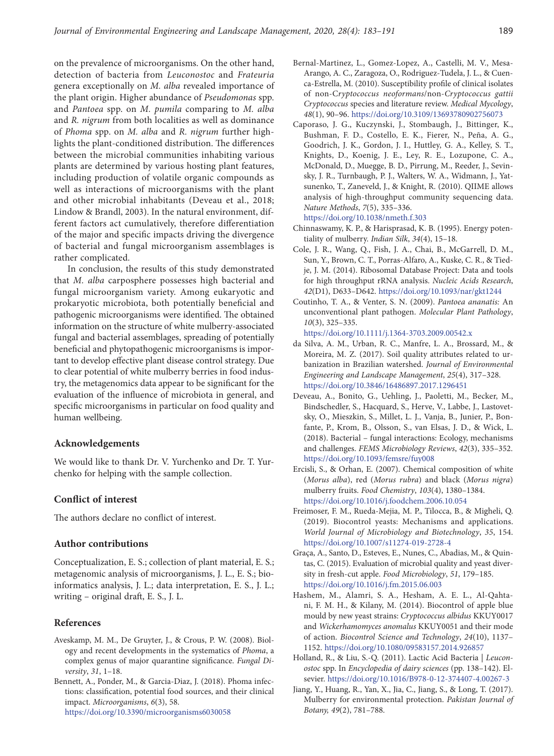on the prevalence of microorganisms. On the other hand, detection of bacteria from *Leuconostoc* and *Frateuria* genera exceptionally on *M. alba* revealed importance of the plant origin. Higher abundance of *Pseudomonas* spp. and *Pantoea* spp. on *M. pumila* comparing to *M. alba* and *R. nigrum* from both localities as well as dominance of *Phoma* spp. on *M. alba* and *R. nigrum* further highlights the plant-conditioned distribution. The differences between the microbial communities inhabiting various plants are determined by various hosting plant features, including production of volatile organic compounds as well as interactions of microorganisms with the plant and other microbial inhabitants (Deveau et al., 2018; Lindow & Brandl, 2003). In the natural environment, different factors act cumulatively, therefore differentiation of the major and specific impacts driving the divergence of bacterial and fungal microorganism assemblages is rather complicated.

In conclusion, the results of this study demonstrated that *M. alba* carposphere possesses high bacterial and fungal microorganism variety. Among eukaryotic and prokaryotic microbiota, both potentially beneficial and pathogenic microorganisms were identified. The obtained information on the structure of white mulberry-associated fungal and bacterial assemblages, spreading of potentially beneficial and phytopathogenic microorganisms is important to develop effective plant disease control strategy. Due to clear potential of white mulberry berries in food industry, the metagenomics data appear to be significant for the evaluation of the influence of microbiota in general, and specific microorganisms in particular on food quality and human wellbeing.

# **Acknowledgements**

We would like to thank Dr. V. Yurchenko and Dr. T. Yurchenko for helping with the sample collection.

# **Conflict of interest**

The authors declare no conflict of interest.

#### **Author contributions**

Conceptualization, E. S.; collection of plant material, E. S.; metagenomic analysis of microorganisms, J. L., E. S.; bioinformatics analysis, J. L.; data interpretation, E. S., J. L.; writing – original draft, E. S., J. L.

#### **References**

- Aveskamp, M. M., De Gruyter, J., & Crous, P. W. (2008). Biology and recent developments in the systematics of *Phoma*, a complex genus of major quarantine significance. *Fungal Diversity*, *31*, 1–18.
- Bennett, A., Ponder, M., & Garcia-Diaz, J. (2018). Phoma infections: classification, potential food sources, and their clinical impact. *Microorganisms*, *6*(3), 58. <https://doi.org/10.3390/microorganisms6030058>
- Bernal-Martinez, L., Gomez-Lopez, A., Castelli, M. V., Mesa-Arango, A. C., Zaragoza, O., Rodriguez-Tudela, J. L., & Cuenca-Estrella, M. (2010). Susceptibility profile of clinical isolates of non-C*ryptococcus neoformans*/non-*Cryptococcus gattii Cryptococcus* species and literature review. *Medical Mycology*, *48*(1), 90–96. <https://doi.org/10.3109/13693780902756073>
- Caporaso, J. G., Kuczynski, J., Stombaugh, J., Bittinger, K., Bushman, F. D., Costello, E. K., Fierer, N., Peña, A. G., Goodrich, J. K., Gordon, J. I., Huttley, G. A., Kelley, S. T., Knights, D., Koenig, J. E., Ley, R. E., Lozupone, C. A., McDonald, D., Muegge, B. D., Pirrung, M., Reeder, J., Sevinsky, J. R., Turnbaugh, P. J., Walters, W. A., Widmann, J., Yatsunenko, T., Zaneveld, J., & Knight, R. (2010). QIIME allows analysis of high-throughput community sequencing data. *Nature Methods*, *7*(5), 335–336. <https://doi.org/10.1038/nmeth.f.303>
- Chinnaswamy, K. P., & Harisprasad, K. B. (1995). Energy potentiality of mulberry. *Indian Silk*, *34*(4), 15–18.
- Cole, J. R., Wang, Q., Fish, J. A., Chai, B., McGarrell, D. M., Sun, Y., Brown, C. T., Porras-Alfaro, A., Kuske, C. R., & Tiedje, J. M. (2014). Ribosomal Database Project: Data and tools for high throughput rRNA analysis. *Nucleic Acids Research*, *42*(D1), D633–D642.<https://doi.org/10.1093/nar/gkt1244>
- Coutinho, T. A., & Venter, S. N. (2009). *Pantoea ananatis:* An unconventional plant pathogen. *Molecular Plant Pathology*, *10*(3), 325–335.
- <https://doi.org/10.1111/j.1364-3703.2009.00542.x> da Silva, A. M., Urban, R. C., Manfre, L. A., Brossard, M., & Moreira, M. Z. (2017). Soil quality attributes related to ur-

banization in Brazilian watershed. *Journal of Environmental Engineering and Landscape Management*, *25*(4), 317–328. <https://doi.org/10.3846/16486897.2017.1296451>

- Deveau, A., Bonito, G., Uehling, J., Paoletti, M., Becker, M., Bindschedler, S., Hacquard, S., Herve, V., Labbe, J., Lastovetsky, O., Mieszkin, S., Millet, L. J., Vanja, B., Junier, P., Bonfante, P., Krom, B., Olsson, S., van Elsas, J. D., & Wick, L. (2018). Bacterial – fungal interactions: Ecology, mechanisms and challenges. *FEMS Microbiology Reviews*, *42*(3), 335–352. <https://doi.org/10.1093/femsre/fuy008>
- Ercisli, S., & Orhan, E. (2007). Chemical composition of white (*Morus alba*), red (*Morus rubra*) and black (*Morus nigra*) mulberry fruits. *Food Chemistry*, *103*(4), 1380–1384. <https://doi.org/10.1016/j.foodchem.2006.10.054>
- Freimoser, F. M., Rueda-Mejia, M. P., Tilocca, B., & Migheli, Q. (2019). Biocontrol yeasts: Mechanisms and applications. *World Journal of Microbiology and Biotechnology*, *35*, 154. <https://doi.org/10.1007/s11274-019-2728-4>
- Graça, A., Santo, D., Esteves, E., Nunes, C., Abadias, M., & Quintas, C. (2015). Evaluation of microbial quality and yeast diversity in fresh-cut apple. *Food Microbiology*, *51*, 179–185. <https://doi.org/10.1016/j.fm.2015.06.003>
- Hashem, M., Alamri, S. A., Hesham, A. E. L., Al-Qahtani, F. M. H., & Kilany, M. (2014). Biocontrol of apple blue mould by new yeast strains: *Cryptococcus albidus* KKUY0017 and *Wickerhamomyces anomalus* KKUY0051 and their mode of action. *Biocontrol Science and Technology*, *24*(10), 1137– 1152. <https://doi.org/10.1080/09583157.2014.926857>
- Holland, R., & Liu, S.-Q. (2011). Lactic Acid Bacteria | *Leuconostoc* spp. In *Encyclopedia of dairy sciences* (pp. 138–142). Elsevier. <https://doi.org/10.1016/B978-0-12-374407-4.00267-3>
- Jiang, Y., Huang, R., Yan, X., Jia, C., Jiang, S., & Long, T. (2017). Mulberry for environmental protection. *Pakistan Journal of Botany, 49*(2), 781–788.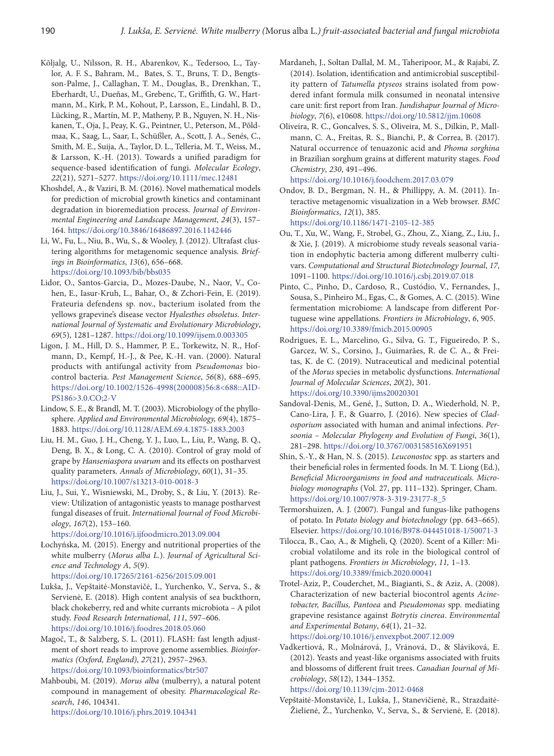- Kõljalg, U., Nilsson, R. H., Abarenkov, K., Tedersoo, L., Taylor, A. F. S., Bahram, M., Bates, S. T., Bruns, T. D., Bengtsson-Palme, J., Callaghan, T. M., Douglas, B., Drenkhan, T., Eberhardt, U., Dueñas, M., Grebenc, T., Griffith, G. W., Hartmann, M., Kirk, P. M., Kohout, P., Larsson, E., Lindahl, B. D., Lücking, R., Martín, M. P., Matheny, P. B., Nguyen, N. H., Niskanen, T., Oja, J., Peay, K. G., Peintner, U., Peterson, M., Põldmaa, K., Saag, L., Saar, I., Schüßler, A., Scott, J. A., Senés, C., Smith, M. E., Suija, A., Taylor, D. L., Telleria, M. T., Weiss, M., & Larsson, K.-H. (2013). Towards a unified paradigm for sequence-based identification of fungi. *Molecular Ecology*, *22*(21), 5271–5277. <https://doi.org/10.1111/mec.12481>
- Khoshdel, A., & Vaziri, B. M. (2016). Novel mathematical models for prediction of microbial growth kinetics and contaminant degradation in bioremediation process. *Journal of Environmental Engineering and Landscape Management*, *24*(3), 157– 164. <https://doi.org/10.3846/16486897.2016.1142446>
- Li, W., Fu, L., Niu, B., Wu, S., & Wooley, J. (2012). Ultrafast clustering algorithms for metagenomic sequence analysis. *Briefings in Bioinformatics*, *13*(6), 656–668. <https://doi.org/10.1093/bib/bbs035>
- Lidor, O., Santos-Garcia, D., Mozes-Daube, N., Naor, V., Cohen, E., Iasur-Kruh, L., Bahar, O., & Zchori-Fein, E. (2019). Frateuria defendens sp. nov., bacterium isolated from the yellows grapevine's disease vector *Hyalesthes obsoletus*. *International Journal of Systematic and Evolutionary Microbiology*, *69*(5), 1281–1287. <https://doi.org/10.1099/ijsem.0.003305>
- Ligon, J. M., Hill, D. S., Hammer, P. E., Torkewitz, N. R., Hofmann, D., Kempf, H.-J., & Pee, K.-H. van. (2000). Natural products with antifungal activity from *Pseudomonas* biocontrol bacteria. *Pest Management Science*, *56*(8), 688–695. [https://doi.org/10.1002/1526-4998\(200008\)56:8<688::AID-](https://doi.org/10.1002/1526-4998(200008)56:8%3C688::AID-PS186%3E3.0.CO;2-V)[PS186>3.0.CO;2-V](https://doi.org/10.1002/1526-4998(200008)56:8%3C688::AID-PS186%3E3.0.CO;2-V)
- Lindow, S. E., & Brandl, M. T. (2003). Microbiology of the phyllosphere. *Applied and Environmental Microbiology, 69*(4), 1875– 1883. <https://doi.org/10.1128/AEM.69.4.1875-1883.2003>
- Liu, H. M., Guo, J. H., Cheng, Y. J., Luo, L., Liu, P., Wang, B. Q., Deng, B. X., & Long, C. A. (2010). Control of gray mold of grape by *Hanseniaspora uvarum* and its effects on postharvest quality parameters. *Annals of Microbiology*, *60*(1), 31–35. <https://doi.org/10.1007/s13213-010-0018-3>
- Liu, J., Sui, Y., Wisniewski, M., Droby, S., & Liu, Y. (2013). Review: Utilization of antagonistic yeasts to manage postharvest fungal diseases of fruit. *International Journal of Food Microbiology*, *167*(2), 153–160.

<https://doi.org/10.1016/j.ijfoodmicro.2013.09.004>

- Łochyńska, M. (2015). Energy and nutritional properties of the white mulberry (*Morus alba L.*). *Journal of Agricultural Science and Technology A*, *5*(9). <https://doi.org/10.17265/2161-6256/2015.09.001>
- Lukša, J., Vepštaitė-Monstavičė, I., Yurchenko, V., Serva, S., & Servienė, E. (2018). High content analysis of sea buckthorn, black chokeberry, red and white currants microbiota – A pilot study. *Food Research International*, *111*, 597–606. <https://doi.org/10.1016/j.foodres.2018.05.060>
- Magoč, T., & Salzberg, S. L. (2011). FLASH: fast length adjustment of short reads to improve genome assemblies. *Bioinformatics (Oxford, England)*, *27*(21), 2957–2963. <https://doi.org/10.1093/bioinformatics/btr507>
- Mahboubi, M. (2019). *Morus alba* (mulberry), a natural potent compound in management of obesity. *Pharmacological Research*, *146*, 104341. <https://doi.org/10.1016/j.phrs.2019.104341>
- Mardaneh, J., Soltan Dallal, M. M., Taheripoor, M., & Rajabi, Z. (2014). Isolation, identification and antimicrobial susceptibility pattern of *Tatumella ptyseos* strains isolated from powdered infant formula milk consumed in neonatal intensive care unit: first report from Iran. *Jundishapur Journal of Microbiology*, *7*(6), e10608. <https://doi.org/10.5812/jjm.10608>
- Oliveira, R. C., Goncalves, S. S., Oliveira, M. S., Dilkin, P., Mallmann, C. A., Freitas, R. S., Bianchi, P., & Correa, B. (2017). Natural occurrence of tenuazonic acid and *Phoma sorghina* in Brazilian sorghum grains at different maturity stages. *Food Chemistry*, *230*, 491–496. <https://doi.org/10.1016/j.foodchem.2017.03.079>
- Ondov, B. D., Bergman, N. H., & Phillippy, A. M. (2011). Interactive metagenomic visualization in a Web browser. *BMC Bioinformatics*, *12*(1), 385. <https://doi.org/10.1186/1471-2105-12-385>
- Ou, T., Xu, W., Wang, F., Strobel, G., Zhou, Z., Xiang, Z., Liu, J., & Xie, J. (2019). A microbiome study reveals seasonal variation in endophytic bacteria among different mulberry cultivars. *Computational and Structural Biotechnology Journal*, *17*, 1091–1100.<https://doi.org/10.1016/j.csbj.2019.07.018>
- Pinto, C., Pinho, D., Cardoso, R., Custódio, V., Fernandes, J., Sousa, S., Pinheiro M., Egas, C., & Gomes, A. C. (2015). Wine fermentation microbiome: A landscape from different Portuguese wine appellations. *Frontiers in Microbiology*, *6*, 905. <https://doi.org/10.3389/fmicb.2015.00905>
- Rodrigues, E. L., Marcelino, G., Silva, G. T., Figueiredo, P. S., Garcez, W. S., Corsino, J., Guimarães, R. de C. A., & Freitas, K. de C. (2019). Nutraceutical and medicinal potential of the *Morus* species in metabolic dysfunctions. *International Journal of Molecular Sciences*, *20*(2), 301. <https://doi.org/10.3390/ijms20020301>
- Sandoval-Denis, M., Gené, J., Sutton, D. A., Wiederhold, N. P., Cano-Lira, J. F., & Guarro, J. (2016). New species of *Cladosporium* associated with human and animal infections. *Persoonia – Molecular Phylogeny and Evolution of Fungi*, *36*(1), 281–298. <https://doi.org/10.3767/003158516X691951>
- Shin, S.-Y., & Han, N. S. (2015). *Leuconostoc* spp. as starters and their beneficial roles in fermented foods. In M. T. Liong (Ed.), *Beneficial Microorganisms in food and nutraceuticals. Microbiology monographs* (Vol. 27, pp. 111–132). Springer, Cham. [https://doi.org/10.1007/978-3-319-23177-8\\_5](https://doi.org/10.1007/978-3-319-23177-8_5)
- Termorshuizen, A. J. (2007). Fungal and fungus-like pathogens of potato. In *Potato biology and biotechnology* (pp. 643–665). Elsevier. <https://doi.org/10.1016/B978-044451018-1/50071-3>
- Tilocca, B., Cao, A., & Migheli, Q. (2020). Scent of a Killer: Microbial volatilome and its role in the biological control of plant pathogens. *Frontiers in Microbiology*, *11,* 1–13. <https://doi.org/10.3389/fmicb.2020.00041>
- Trotel-Aziz, P., Couderchet, M., Biagianti, S., & Aziz, A. (2008). Characterization of new bacterial biocontrol agents *Acinetobacter, Bacillus, Pantoea* and *Pseudomonas* spp. mediating grapevine resistance against *Botrytis cinerea*. *Environmental and Experimental Botany*, *64*(1), 21–32. <https://doi.org/10.1016/j.envexpbot.2007.12.009>
- Vadkertiová, R., Molnárová, J., Vránová, D., & Sláviková, E. (2012). Yeasts and yeast-like organisms associated with fruits and blossoms of different fruit trees. *Canadian Journal of Microbiology*, *58*(12), 1344–1352.

<https://doi.org/10.1139/cjm-2012-0468>

Vepštaitė-Monstavičė, I., Lukša, J., Stanevičienė, R., Strazdaitė-Žielienė, Ž., Yurchenko, V., Serva, S., & Servienė, E. (2018).